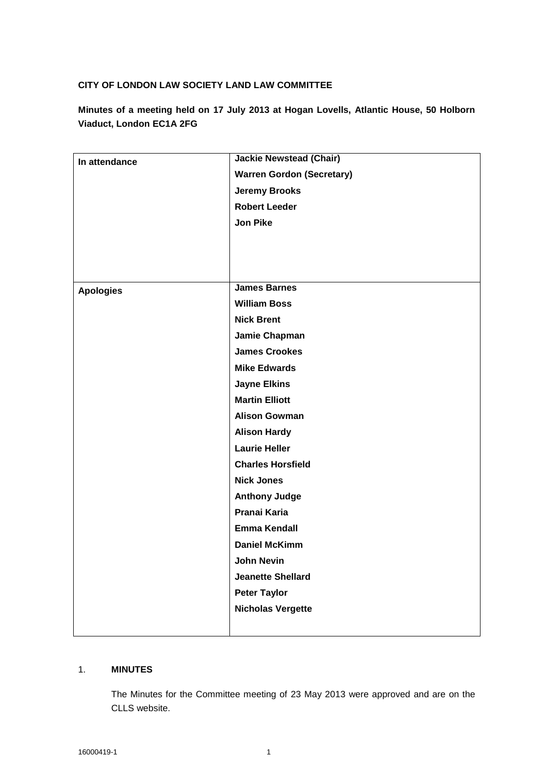## **CITY OF LONDON LAW SOCIETY LAND LAW COMMITTEE**

**Minutes of a meeting held on 17 July 2013 at Hogan Lovells, Atlantic House, 50 Holborn Viaduct, London EC1A 2FG**

| In attendance    | <b>Jackie Newstead (Chair)</b>   |
|------------------|----------------------------------|
|                  | <b>Warren Gordon (Secretary)</b> |
|                  | <b>Jeremy Brooks</b>             |
|                  | <b>Robert Leeder</b>             |
|                  | <b>Jon Pike</b>                  |
|                  |                                  |
|                  |                                  |
|                  |                                  |
| <b>Apologies</b> | <b>James Barnes</b>              |
|                  | <b>William Boss</b>              |
|                  | <b>Nick Brent</b>                |
|                  | Jamie Chapman                    |
|                  | <b>James Crookes</b>             |
|                  | <b>Mike Edwards</b>              |
|                  | <b>Jayne Elkins</b>              |
|                  | <b>Martin Elliott</b>            |
|                  | <b>Alison Gowman</b>             |
|                  | <b>Alison Hardy</b>              |
|                  | <b>Laurie Heller</b>             |
|                  | <b>Charles Horsfield</b>         |
|                  | <b>Nick Jones</b>                |
|                  | <b>Anthony Judge</b>             |
|                  | Pranai Karia                     |
|                  | <b>Emma Kendall</b>              |
|                  | <b>Daniel McKimm</b>             |
|                  | John Nevin                       |
|                  | <b>Jeanette Shellard</b>         |
|                  | <b>Peter Taylor</b>              |
|                  | <b>Nicholas Vergette</b>         |
|                  |                                  |

# 1. **MINUTES**

The Minutes for the Committee meeting of 23 May 2013 were approved and are on the CLLS website.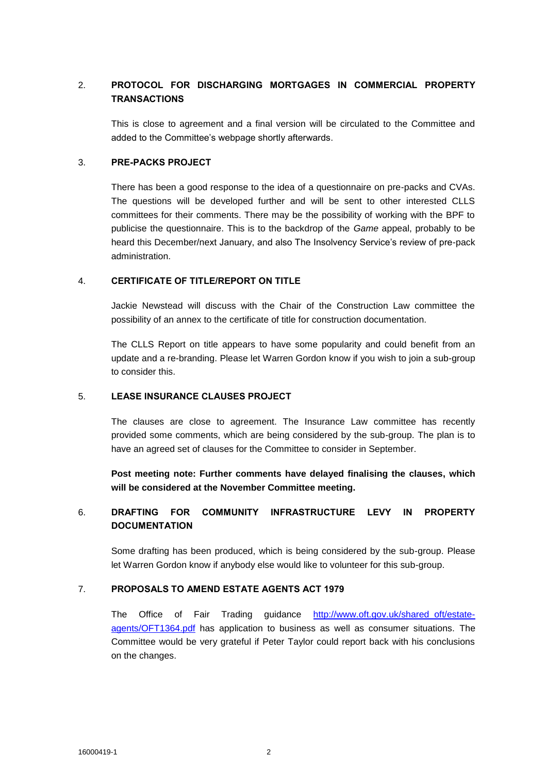# 2. **PROTOCOL FOR DISCHARGING MORTGAGES IN COMMERCIAL PROPERTY TRANSACTIONS**

This is close to agreement and a final version will be circulated to the Committee and added to the Committee's webpage shortly afterwards.

#### 3. **PRE-PACKS PROJECT**

There has been a good response to the idea of a questionnaire on pre-packs and CVAs. The questions will be developed further and will be sent to other interested CLLS committees for their comments. There may be the possibility of working with the BPF to publicise the questionnaire. This is to the backdrop of the *Game* appeal, probably to be heard this December/next January, and also The Insolvency Service's review of pre-pack administration.

### 4. **CERTIFICATE OF TITLE/REPORT ON TITLE**

Jackie Newstead will discuss with the Chair of the Construction Law committee the possibility of an annex to the certificate of title for construction documentation.

The CLLS Report on title appears to have some popularity and could benefit from an update and a re-branding. Please let Warren Gordon know if you wish to join a sub-group to consider this.

### 5. **LEASE INSURANCE CLAUSES PROJECT**

The clauses are close to agreement. The Insurance Law committee has recently provided some comments, which are being considered by the sub-group. The plan is to have an agreed set of clauses for the Committee to consider in September.

**Post meeting note: Further comments have delayed finalising the clauses, which will be considered at the November Committee meeting.**

# 6. **DRAFTING FOR COMMUNITY INFRASTRUCTURE LEVY IN PROPERTY DOCUMENTATION**

Some drafting has been produced, which is being considered by the sub-group. Please let Warren Gordon know if anybody else would like to volunteer for this sub-group.

## 7. **PROPOSALS TO AMEND ESTATE AGENTS ACT 1979**

The Office of Fair Trading guidance [http://www.oft.gov.uk/shared\\_oft/estate](http://www.oft.gov.uk/shared_oft/estate-agents/OFT1364.pdf)[agents/OFT1364.pdf](http://www.oft.gov.uk/shared_oft/estate-agents/OFT1364.pdf) has application to business as well as consumer situations. The Committee would be very grateful if Peter Taylor could report back with his conclusions on the changes.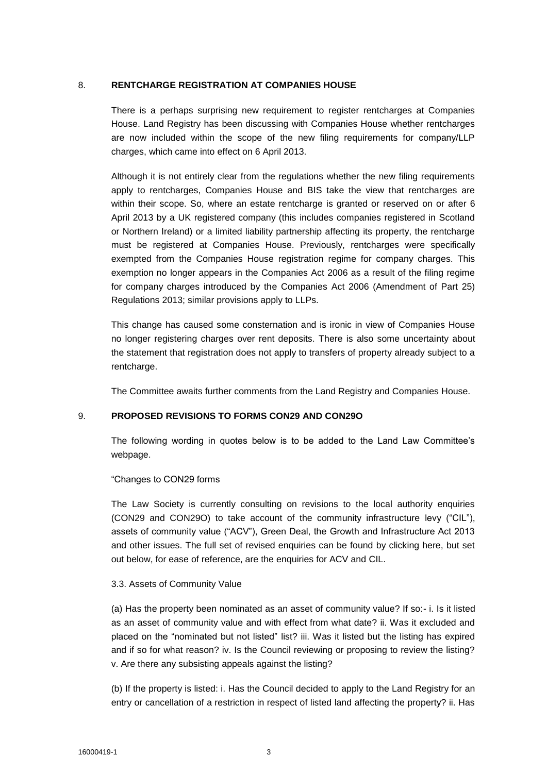### 8. **RENTCHARGE REGISTRATION AT COMPANIES HOUSE**

There is a perhaps surprising new requirement to register rentcharges at Companies House. Land Registry has been discussing with Companies House whether rentcharges are now included within the scope of the new filing requirements for company/LLP charges, which came into effect on 6 April 2013.

Although it is not entirely clear from the regulations whether the new filing requirements apply to rentcharges, Companies House and BIS take the view that rentcharges are within their scope. So, where an estate rentcharge is granted or reserved on or after 6 April 2013 by a UK registered company (this includes companies registered in Scotland or Northern Ireland) or a limited liability partnership affecting its property, the rentcharge must be registered at Companies House. Previously, rentcharges were specifically exempted from the Companies House registration regime for company charges. This exemption no longer appears in the Companies Act 2006 as a result of the filing regime for company charges introduced by the Companies Act 2006 (Amendment of Part 25) Regulations 2013; similar provisions apply to LLPs.

This change has caused some consternation and is ironic in view of Companies House no longer registering charges over rent deposits. There is also some uncertainty about the statement that registration does not apply to transfers of property already subject to a rentcharge.

The Committee awaits further comments from the Land Registry and Companies House.

### 9. **PROPOSED REVISIONS TO FORMS CON29 AND CON29O**

The following wording in quotes below is to be added to the Land Law Committee's webpage.

### "Changes to CON29 forms

The Law Society is currently consulting on revisions to the local authority enquiries (CON29 and CON29O) to take account of the community infrastructure levy ("CIL"), assets of community value ("ACV"), Green Deal, the Growth and Infrastructure Act 2013 and other issues. The full set of revised enquiries can be found by clicking here, but set out below, for ease of reference, are the enquiries for ACV and CIL.

#### 3.3. Assets of Community Value

(a) Has the property been nominated as an asset of community value? If so:- i. Is it listed as an asset of community value and with effect from what date? ii. Was it excluded and placed on the "nominated but not listed" list? iii. Was it listed but the listing has expired and if so for what reason? iv. Is the Council reviewing or proposing to review the listing? v. Are there any subsisting appeals against the listing?

(b) If the property is listed: i. Has the Council decided to apply to the Land Registry for an entry or cancellation of a restriction in respect of listed land affecting the property? ii. Has